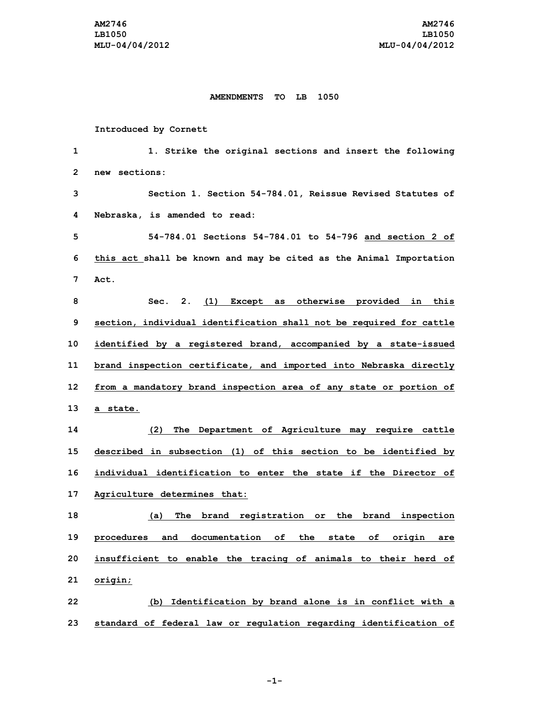## **AMENDMENTS TO LB 1050**

## **Introduced by Cornett**

| 1            | 1. Strike the original sections and insert the following            |
|--------------|---------------------------------------------------------------------|
| $\mathbf{2}$ | sections:<br>new                                                    |
| 3            | Section 1. Section 54-784.01, Reissue Revised Statutes of           |
| 4            | Nebraska, is amended to read:                                       |
| 5            | 54-784.01 Sections 54-784.01 to 54-796 and section 2 of             |
| 6            | this act shall be known and may be cited as the Animal Importation  |
| 7            | Act.                                                                |
| 8            | Sec. 2. (1) Except as otherwise provided in this                    |
| 9            | section, individual identification shall not be required for cattle |
| 10           | identified by a registered brand, accompanied by a state-issued     |
| 11           | brand inspection certificate, and imported into Nebraska directly   |
| 12           | from a mandatory brand inspection area of any state or portion of   |
| 13           | a state.                                                            |
| 14           | (2)<br>The Department of Agriculture may require cattle             |
| 15           | described in subsection (1) of this section to be identified by     |
| 16           | individual identification to enter the state if the Director of     |
| 17           | Agriculture determines that:                                        |
| 18           | The brand registration or the brand inspection<br>(a)               |
| 19           | procedures and documentation of the state of origin are             |
| 20           | insufficient to enable the tracing of animals to their herd of      |
| 21           | origin;                                                             |
| 22           | (b) Identification by brand alone is in conflict with a             |
| 23           | standard of federal law or regulation regarding identification of   |

**-1-**